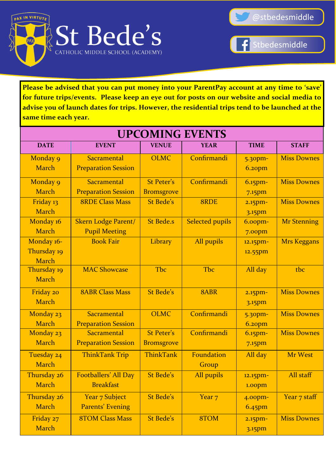



Stbedesmiddle

**Please be advised that you can put money into your ParentPay account at any time to 'save' for future trips/events. Please keep an eye out for posts on our website and social media to advise you of launch dates for trips. However, the residential trips tend to be launched at the same time each year.**

| <b>UPCOMING EVENTS</b> |                            |                   |                        |                    |                    |  |  |
|------------------------|----------------------------|-------------------|------------------------|--------------------|--------------------|--|--|
| <b>DATE</b>            | <b>EVENT</b>               | <b>VENUE</b>      | <b>YEAR</b>            | <b>TIME</b>        | <b>STAFF</b>       |  |  |
| Monday 9               | Sacramental                | <b>OLMC</b>       | Confirmandi            | 5.30pm-            | <b>Miss Downes</b> |  |  |
| <b>March</b>           | <b>Preparation Session</b> |                   |                        | 6.20 <sub>pm</sub> |                    |  |  |
| Monday 9               | Sacramental                | <b>St Peter's</b> | Confirmandi            | $6.15$ pm-         | <b>Miss Downes</b> |  |  |
| <b>March</b>           | <b>Preparation Session</b> | <b>Bromsgrove</b> |                        | 7.15 <sub>pm</sub> |                    |  |  |
| Friday 13              | <b>8RDE Class Mass</b>     | <b>St Bede's</b>  | 8RDE                   | $2.15$ pm-         | <b>Miss Downes</b> |  |  |
| <b>March</b>           |                            |                   |                        | 3.15pm             |                    |  |  |
| Monday 16              | <b>Skern Lodge Parent/</b> | <b>St Bede.s</b>  | <b>Selected pupils</b> | 6.00 <sub>pm</sub> | <b>Mr Stenning</b> |  |  |
| March                  | <b>Pupil Meeting</b>       |                   |                        | 7.00pm             |                    |  |  |
| Monday 16-             | <b>Book Fair</b>           | Library           | All pupils             | 12.15pm-           | <b>Mrs Keggans</b> |  |  |
| Thursday 19            |                            |                   |                        | 12.55pm            |                    |  |  |
| <b>March</b>           |                            |                   |                        |                    |                    |  |  |
| Thursday 19            | <b>MAC Showcase</b>        | Tbc               | Tbc                    | All day            | tbc                |  |  |
| <b>March</b>           |                            |                   |                        |                    |                    |  |  |
| Friday 20              | <b>8ABR Class Mass</b>     | <b>St Bede's</b>  | 8ABR                   | $2.15$ pm $-$      | <b>Miss Downes</b> |  |  |
| <b>March</b>           |                            |                   |                        | 3.15pm             |                    |  |  |
| Monday 23              | Sacramental                | <b>OLMC</b>       | Confirmandi            | 5.30 <sub>pm</sub> | <b>Miss Downes</b> |  |  |
| <b>March</b>           | <b>Preparation Session</b> |                   |                        | $6.2$ opm          |                    |  |  |
| Monday 23              | Sacramental                | <b>St Peter's</b> | Confirmandi            | $6.15$ pm $-$      | <b>Miss Downes</b> |  |  |
| March                  | <b>Preparation Session</b> | <b>Bromsgrove</b> |                        | 7.15 <sub>pm</sub> |                    |  |  |
| Tuesday 24             | <b>ThinkTank Trip</b>      | <b>ThinkTank</b>  | Foundation             | All day            | Mr West            |  |  |
| March                  |                            |                   | Group                  |                    |                    |  |  |
| Thursday 26            | Footballers' All Day       | <b>St Bede's</b>  | All pupils             | 12.15pm-           | All staff          |  |  |
| March                  | <b>Breakfast</b>           |                   |                        | 1.00pm             |                    |  |  |
| Thursday 26            | Year 7 Subject             | <b>St Bede's</b>  | Year <sub>7</sub>      | 4.00 <sub>pm</sub> | Year 7 staff       |  |  |
| <b>March</b>           | <b>Parents' Evening</b>    |                   |                        | 6.45pm             |                    |  |  |
| Friday 27              | <b>8TOM Class Mass</b>     | St Bede's         | 8TOM                   | $2.15$ pm-         | <b>Miss Downes</b> |  |  |
| March                  |                            |                   |                        | 3.15pm             |                    |  |  |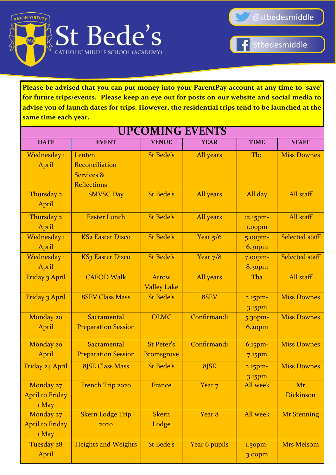

Stbedesmiddle

**Please be advised that you can put money into your ParentPay account at any time to 'save' for future trips/events. Please keep an eye out for posts on our website and social media to advise you of launch dates for trips. However, the residential trips tend to be launched at the same time each year.**

| <b>UPCOMING EVENTS</b> |                              |                    |                   |                    |                       |  |
|------------------------|------------------------------|--------------------|-------------------|--------------------|-----------------------|--|
| <b>DATE</b>            | <b>EVENT</b>                 | <b>VENUE</b>       | <b>YEAR</b>       | <b>TIME</b>        | <b>STAFF</b>          |  |
| Wednesday 1            | Lenten                       | <b>St Bede's</b>   | All years         | Tbc                | <b>Miss Downes</b>    |  |
| April                  | Reconciliation               |                    |                   |                    |                       |  |
|                        | <b>Services &amp;</b>        |                    |                   |                    |                       |  |
|                        | <b>Reflections</b>           |                    |                   |                    |                       |  |
| Thursday 2             | <b>SMVSC Day</b>             | St Bede's          | All years         | All day            | All staff             |  |
| April                  |                              |                    |                   |                    |                       |  |
| Thursday 2             | <b>Easter Lunch</b>          | <b>St Bede's</b>   | All years         | 12.15pm-           | All staff             |  |
| April                  |                              |                    |                   | 1.00pm             |                       |  |
| Wednesday 1            | <b>KS2 Easter Disco</b>      | <b>St Bede's</b>   | Year $5/6$        | 5.00 <sub>pm</sub> | <b>Selected staff</b> |  |
| April                  |                              |                    |                   | 6.30 <sub>pm</sub> |                       |  |
| Wednesday 1            | KS <sub>3</sub> Easter Disco | <b>St Bede's</b>   | Year $7/8$        | 7.00 <sub>pm</sub> | <b>Selected staff</b> |  |
| April                  |                              |                    |                   | <b>8.30pm</b>      |                       |  |
| <b>Friday 3 April</b>  | <b>CAFOD Walk</b>            | <b>Arrow</b>       | All years         | Tba                | All staff             |  |
|                        |                              | <b>Valley Lake</b> |                   |                    |                       |  |
| Friday 3 April         | <b>8SEV Class Mass</b>       | <b>St Bede's</b>   | 8SEV              | $2.15$ pm-         | <b>Miss Downes</b>    |  |
|                        |                              |                    |                   | 3.15pm             |                       |  |
| Monday 20              | Sacramental                  | <b>OLMC</b>        | Confirmandi       | 5.30 <sub>pm</sub> | <b>Miss Downes</b>    |  |
| April                  | <b>Preparation Session</b>   |                    |                   | $6.2$ opm          |                       |  |
| Monday 20              | Sacramental                  | <b>St Peter's</b>  | Confirmandi       | $6.15$ pm-         | <b>Miss Downes</b>    |  |
| April                  | <b>Preparation Session</b>   | <b>Bromsgrove</b>  |                   | $7.15$ pm          |                       |  |
| Friday 24 April        | <b>8JSE Class Mass</b>       | <b>St Bede's</b>   | 8JSE              | $2.15$ pm-         | <b>Miss Downes</b>    |  |
|                        |                              |                    |                   | 3.15pm             |                       |  |
| Monday 27              | French Trip 2020             | France             | Year <sub>7</sub> | <b>All week</b>    | Mr                    |  |
| <b>April to Friday</b> |                              |                    |                   |                    | Dickinson             |  |
| 1 May                  |                              |                    |                   |                    |                       |  |
| Monday 27              | <b>Skern Lodge Trip</b>      | <b>Skern</b>       | Year 8            | <b>All week</b>    | <b>Mr Stenning</b>    |  |
| <b>April to Friday</b> | 2020                         | Lodge              |                   |                    |                       |  |
| 1 May                  |                              |                    |                   |                    |                       |  |
| Tuesday 28             | <b>Heights and Weights</b>   | <b>St Bede's</b>   | Year 6 pupils     | 1.30pm-            | <b>Mrs Melsom</b>     |  |
| April                  |                              |                    |                   | 3.00pm             |                       |  |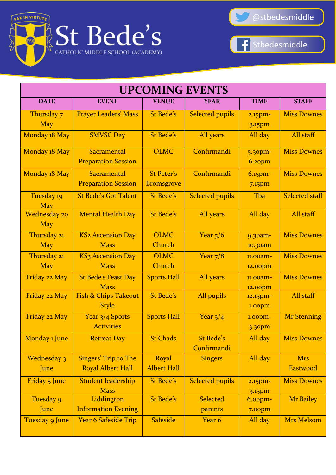



 $\left| \mathbf{f} \right|$ Stbedesmiddle

| <b>UPCOMING EVENTS</b>     |                                                         |                                        |                                 |                                     |                        |
|----------------------------|---------------------------------------------------------|----------------------------------------|---------------------------------|-------------------------------------|------------------------|
| <b>DATE</b>                | <b>EVENT</b>                                            | <b>VENUE</b>                           | <b>YEAR</b>                     | <b>TIME</b>                         | <b>STAFF</b>           |
| Thursday 7<br><b>May</b>   | <b>Prayer Leaders' Mass</b>                             | St Bede's                              | <b>Selected pupils</b>          | $2.15$ pm-<br>3.15pm                | <b>Miss Downes</b>     |
| Monday 18 May              | <b>SMVSC Day</b>                                        | St Bede's                              | All years                       | All day                             | All staff              |
| Monday 18 May              | Sacramental<br><b>Preparation Session</b>               | <b>OLMC</b>                            | Confirmandi                     | 5.30 <sub>pm</sub><br>$6.2$ opm     | <b>Miss Downes</b>     |
| Monday 18 May              | Sacramental<br><b>Preparation Session</b>               | <b>St Peter's</b><br><b>Bromsgrove</b> | Confirmandi                     | $6.15$ pm $-$<br>7.15 <sub>pm</sub> | <b>Miss Downes</b>     |
| Tuesday 19<br><b>May</b>   | <b>St Bede's Got Talent</b>                             | St Bede's                              | <b>Selected pupils</b>          | Tba                                 | <b>Selected staff</b>  |
| Wednesday 20<br><b>May</b> | <b>Mental Health Day</b>                                | St Bede's                              | All years                       | All day                             | All staff              |
| Thursday 21<br><b>May</b>  | <b>KS2 Ascension Day</b><br><b>Mass</b>                 | <b>OLMC</b><br>Church                  | Year $5/6$                      | 9.30am-<br>10.30am                  | <b>Miss Downes</b>     |
| Thursday 21<br><b>May</b>  | <b>KS3 Ascension Day</b><br><b>Mass</b>                 | <b>OLMC</b><br>Church                  | Year $7/8$                      | 11.00am-<br>12.00pm                 | <b>Miss Downes</b>     |
| Friday 22 May              | <b>St Bede's Feast Day</b><br><b>Mass</b>               | <b>Sports Hall</b>                     | All years                       | $11.00$ am-<br>12.00pm              | <b>Miss Downes</b>     |
| Friday 22 May              | <b>Fish &amp; Chips Takeout</b><br><b>Style</b>         | <b>St Bede's</b>                       | All pupils                      | 12.15pm-<br>1.00pm                  | All staff              |
| Friday 22 May              | Year 3/4 Sports<br><b>Activities</b>                    | <b>Sports Hall</b>                     | Year $3/4$                      | 1.00 <sub>pm</sub><br>3.30pm        | <b>Mr Stenning</b>     |
| Monday 1 June              | <b>Retreat Day</b>                                      | <b>St Chads</b>                        | <b>St Bede's</b><br>Confirmandi | All day                             | <b>Miss Downes</b>     |
| Wednesday 3<br>June        | <b>Singers' Trip to The</b><br><b>Royal Albert Hall</b> | Royal<br><b>Albert Hall</b>            | <b>Singers</b>                  | All day                             | <b>Mrs</b><br>Eastwood |
| Friday 5 June              | <b>Student leadership</b><br><b>Mass</b>                | <b>St Bede's</b>                       | <b>Selected pupils</b>          | $2.15$ pm-<br>3.15pm                | <b>Miss Downes</b>     |
| Tuesday 9<br>June          | Liddington<br><b>Information Evening</b>                | <b>St Bede's</b>                       | <b>Selected</b><br>parents      | 6.00 <sub>pm</sub><br>7.00pm        | <b>Mr Bailey</b>       |
| Tuesday 9 June             | <b>Year 6 Safeside Trip</b>                             | <b>Safeside</b>                        | Year 6                          | All day                             | <b>Mrs Melsom</b>      |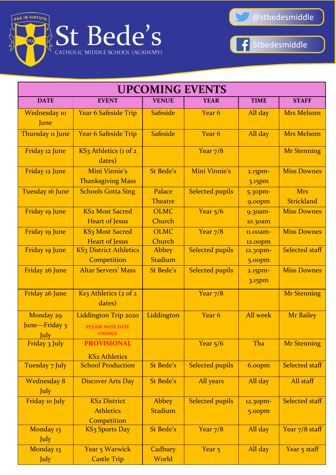



 $\left| \mathbf{f} \right|$ Stbedesmiddle

| <b>UPCOMING EVENTS</b>             |                                                                  |                          |                        |                       |                                 |  |
|------------------------------------|------------------------------------------------------------------|--------------------------|------------------------|-----------------------|---------------------------------|--|
| <b>DATE</b>                        | <b>EVENT</b>                                                     | <b>VENUE</b>             | <b>YEAR</b>            | <b>TIME</b>           | <b>STAFF</b>                    |  |
| Wednesday 10<br>June               | <b>Year 6 Safeside Trip</b>                                      | <b>Safeside</b>          | Year 6                 | All day               | <b>Mrs Melsom</b>               |  |
| Thursday 11 June                   | <b>Year 6 Safeside Trip</b>                                      | <b>Safeside</b>          | Year 6                 | All day               | <b>Mrs Melsom</b>               |  |
| Friday 12 June                     | KS3 Athletics (1 of 2<br>dates)                                  |                          | Year $7/8$             |                       | <b>Mr Stenning</b>              |  |
| Friday 12 June                     | Mini Vinnie's<br><b>Thanksgiving Mass</b>                        | <b>St Bede's</b>         | Mini Vinnie's          | $2.15$ pm-<br>3.15pm  | <b>Miss Downes</b>              |  |
| Tuesday 16 June                    | <b>Schools Gotta Sing</b>                                        | Palace<br><b>Theatre</b> | <b>Selected pupils</b> | 5.30pm-<br>9.00pm     | <b>Mrs</b><br><b>Strickland</b> |  |
| Friday 19 June                     | <b>KS2 Most Sacred</b><br><b>Heart of Jesus</b>                  | <b>OLMC</b><br>Church    | Year $5/6$             | $9.30$ am-<br>10.30am | <b>Miss Downes</b>              |  |
| Friday 19 June                     | KS <sub>3</sub> Most Sacred<br><b>Heart of Jesus</b>             | <b>OLMC</b><br>Church    | Year $7/8$             | 11.00am-<br>12.00pm   | <b>Miss Downes</b>              |  |
| Friday 19 June                     | <b>KS3 District Athletics</b><br>Competition                     | Abbey<br>Stadium         | <b>Selected pupils</b> | 12.30pm-<br>5.00pm    | <b>Selected staff</b>           |  |
| Friday 26 June                     | <b>Altar Servers' Mass</b>                                       | <b>St Bede's</b>         | <b>Selected pupils</b> | $2.15$ pm-<br>3.15pm  | <b>Miss Downes</b>              |  |
| Friday 26 June                     | Ks3 Athletics (2 of 2<br>dates)                                  |                          | Year $7/8$             |                       | <b>Mr Stenning</b>              |  |
| Monday 29<br>June-Friday 3<br>July | Liddington Trip 2020<br><b>PLEASE NOTE DATE</b><br><b>CHANGE</b> | Liddington               | Year 6                 | <b>All week</b>       | <b>Mr Bailey</b>                |  |
| Friday 3 July                      | <b>PROVISIONAL</b><br><b>KS2 Athletics</b>                       |                          | Year $5/6$             | Tba                   | <b>Mr Stenning</b>              |  |
| Tuesday 7 July                     | <b>School Production</b>                                         | <b>St Bede's</b>         | <b>Selected pupils</b> | 6.00pm                | <b>Selected staff</b>           |  |
| <b>Wednesday 8</b><br>July         | <b>Discover Arts Day</b>                                         | <b>St Bede's</b>         | All years              | All day               | All staff                       |  |
| Friday 10 July                     | <b>KS2 District</b><br><b>Athletics</b><br>Competition           | Abbey<br><b>Stadium</b>  | <b>Selected pupils</b> | 12.30pm-<br>5.00pm    | <b>Selected staff</b>           |  |
| Monday 13<br>July                  | KS <sub>3</sub> Sports Day                                       | <b>St Bede's</b>         | Year $7/8$             | All day               | Year 7/8 staff                  |  |
| Monday 13<br>July                  | <b>Year 5 Warwick</b><br><b>Castle Trip</b>                      | Cadbury<br>World         | Year <sub>5</sub>      | All day               | Year 5 staff                    |  |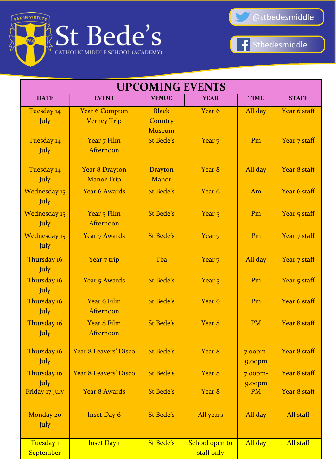



| <b>UPCOMING EVENTS</b>             |                                             |                                          |                              |                              |              |  |
|------------------------------------|---------------------------------------------|------------------------------------------|------------------------------|------------------------------|--------------|--|
| <b>DATE</b>                        | <b>EVENT</b>                                | <b>VENUE</b>                             | <b>YEAR</b>                  | <b>TIME</b>                  | <b>STAFF</b> |  |
| Tuesday 14<br>July                 | <b>Year 6 Compton</b><br><b>Verney Trip</b> | <b>Black</b><br>Country<br><b>Museum</b> | Year <sub>6</sub>            | All day                      | Year 6 staff |  |
| Tuesday 14<br>July                 | Year 7 Film<br>Afternoon                    | <b>St Bede's</b>                         | Year <sub>7</sub>            | Pm                           | Year 7 staff |  |
| Tuesday 14<br><b>July</b>          | <b>Year 8 Drayton</b><br><b>Manor Trip</b>  | <b>Drayton</b><br><b>Manor</b>           | Year 8                       | All day                      | Year 8 staff |  |
| <b>Wednesday 15</b><br>July        | <b>Year 6 Awards</b>                        | <b>St Bede's</b>                         | Year <sub>6</sub>            | Am                           | Year 6 staff |  |
| Wednesday 15<br>July               | Year 5 Film<br>Afternoon                    | <b>St Bede's</b>                         | Year <sub>5</sub>            | Pm                           | Year 5 staff |  |
| <b>Wednesday 15</b><br><b>July</b> | <b>Year 7 Awards</b>                        | St Bede's                                | Year <sub>7</sub>            | Pm                           | Year 7 staff |  |
| Thursday 16<br><b>July</b>         | Year 7 trip                                 | Tba                                      | Year <sub>7</sub>            | All day                      | Year 7 staff |  |
| Thursday 16<br>July                | <b>Year 5 Awards</b>                        | <b>St Bede's</b>                         | Year <sub>5</sub>            | Pm                           | Year 5 staff |  |
| Thursday 16<br><b>July</b>         | Year 6 Film<br>Afternoon                    | <b>St Bede's</b>                         | Year 6                       | Pm                           | Year 6 staff |  |
| Thursday 16<br>July                | Year 8 Film<br>Afternoon                    | <b>St Bede's</b>                         | Year <sub>8</sub>            | <b>PM</b>                    | Year 8 staff |  |
| Thursday 16<br>July                | <b>Year 8 Leavers' Disco</b>                | <b>St Bede's</b>                         | Year 8                       | 7.00 <sub>pm</sub><br>9.00pm | Year 8 staff |  |
| Thursday 16<br>July                | Year 8 Leavers' Disco                       | <b>St Bede's</b>                         | Year 8                       | 7.00 <sub>pm</sub><br>9.00pm | Year 8 staff |  |
| Friday 17 July                     | <b>Year 8 Awards</b>                        | <b>St Bede's</b>                         | Year 8                       | <b>PM</b>                    | Year 8 staff |  |
| Monday 20<br><b>July</b>           | <b>Inset Day 6</b>                          | <b>St Bede's</b>                         | All years                    | All day                      | All staff    |  |
| Tuesday 1<br><b>September</b>      | <b>Inset Day 1</b>                          | St Bede's                                | School open to<br>staff only | All day                      | All staff    |  |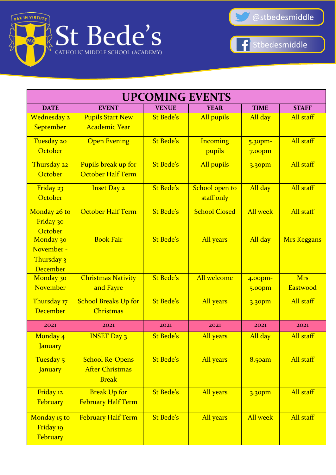



| <b>UPCOMING EVENTS</b>         |                             |                  |                      |                    |                    |  |
|--------------------------------|-----------------------------|------------------|----------------------|--------------------|--------------------|--|
| <b>DATE</b>                    | <b>EVENT</b>                | <b>VENUE</b>     | <b>YEAR</b>          | <b>TIME</b>        | <b>STAFF</b>       |  |
| Wednesday 2                    | <b>Pupils Start New</b>     | St Bede's        | All pupils           | All day            | All staff          |  |
| <b>September</b>               | <b>Academic Year</b>        |                  |                      |                    |                    |  |
| Tuesday 20                     | <b>Open Evening</b>         | <b>St Bede's</b> | <b>Incoming</b>      | 5.30 <sub>pm</sub> | All staff          |  |
| October                        |                             |                  | pupils               | 7.00 <sub>pm</sub> |                    |  |
| Thursday 22                    | Pupils break up for         | St Bede's        | All pupils           | 3.30pm             | All staff          |  |
| October                        | October Half Term           |                  |                      |                    |                    |  |
| Friday 23                      | <b>Inset Day 2</b>          | <b>St Bede's</b> | School open to       | All day            | All staff          |  |
| October                        |                             |                  | staff only           |                    |                    |  |
| Monday 26 to                   | October Half Term           | <b>St Bede's</b> | <b>School Closed</b> | <b>All week</b>    | All staff          |  |
| Friday 30                      |                             |                  |                      |                    |                    |  |
| October                        |                             |                  |                      |                    |                    |  |
| Monday 30                      | <b>Book Fair</b>            | St Bede's        | All years            | All day            | <b>Mrs Keggans</b> |  |
| November -                     |                             |                  |                      |                    |                    |  |
| Thursday 3                     |                             |                  |                      |                    |                    |  |
| <b>December</b>                |                             |                  |                      |                    |                    |  |
| Monday 30                      | <b>Christmas Nativity</b>   | <b>St Bede's</b> | All welcome          | 4.00pm-            | <b>Mrs</b>         |  |
| <b>November</b>                | and Fayre                   |                  |                      | 5.00pm             | Eastwood           |  |
| Thursday 17                    | <b>School Breaks Up for</b> | <b>St Bede's</b> | All years            | 3.30pm             | All staff          |  |
| <b>December</b>                | Christmas                   |                  |                      |                    |                    |  |
| 2021                           | 2021                        | 2021             | 2021                 | 2021               | 2021               |  |
| Monday <sub>4</sub><br>January | <b>INSET Day 3</b>          | <b>St Bede's</b> | All years            | All day            | All staff          |  |
| Tuesday 5                      | <b>School Re-Opens</b>      | <b>St Bede's</b> | All years            | 8.50am             | All staff          |  |
| <b>January</b>                 | <b>After Christmas</b>      |                  |                      |                    |                    |  |
|                                | <b>Break</b>                |                  |                      |                    |                    |  |
| Friday 12                      | <b>Break Up for</b>         | St Bede's        | All years            | 3.30pm             | All staff          |  |
| February                       | <b>February Half Term</b>   |                  |                      |                    |                    |  |
| Monday 15 to                   | <b>February Half Term</b>   | St Bede's        | All years            | <b>All week</b>    | All staff          |  |
| Friday 19                      |                             |                  |                      |                    |                    |  |
| February                       |                             |                  |                      |                    |                    |  |
|                                |                             |                  |                      |                    |                    |  |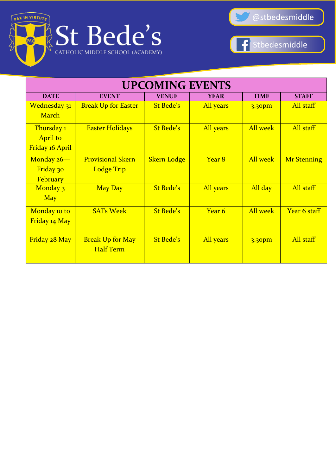



| <b>UPCOMING EVENTS</b>                           |                                               |                    |                   |                 |                    |  |
|--------------------------------------------------|-----------------------------------------------|--------------------|-------------------|-----------------|--------------------|--|
| <b>DATE</b>                                      | <b>EVENT</b>                                  | <b>VENUE</b>       | <b>YEAR</b>       | <b>TIME</b>     | <b>STAFF</b>       |  |
| Wednesday 31<br><b>March</b>                     | <b>Break Up for Easter</b>                    | St Bede's          | All years         | 3.30pm          | All staff          |  |
| Thursday 1<br><b>April to</b><br>Friday 16 April | <b>Easter Holidays</b>                        | <b>St Bede's</b>   | All years         | <b>All week</b> | All staff          |  |
| Monday 26-<br>Friday 30<br>February              | <b>Provisional Skern</b><br><b>Lodge Trip</b> | <b>Skern Lodge</b> | Year 8            | <b>All week</b> | <b>Mr Stenning</b> |  |
| Monday 3<br><b>May</b>                           | <b>May Day</b>                                | St Bede's          | All years         | All day         | All staff          |  |
| Monday 10 to<br>Friday 14 May                    | <b>SATs Week</b>                              | St Bede's          | Year <sub>6</sub> | <b>All week</b> | Year 6 staff       |  |
| Friday 28 May                                    | <b>Break Up for May</b><br><b>Half Term</b>   | St Bede's          | All years         | 3.30pm          | All staff          |  |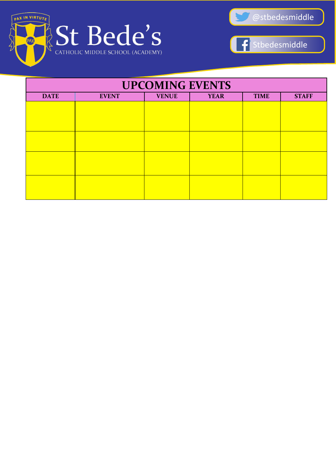



| <b>UPCOMING EVENTS</b> |                                                                            |  |  |  |  |  |  |  |  |
|------------------------|----------------------------------------------------------------------------|--|--|--|--|--|--|--|--|
| <b>DATE</b>            | <b>TIME</b><br><b>STAFF</b><br><b>VENUE</b><br><b>YEAR</b><br><b>EVENT</b> |  |  |  |  |  |  |  |  |
|                        |                                                                            |  |  |  |  |  |  |  |  |
|                        |                                                                            |  |  |  |  |  |  |  |  |
|                        |                                                                            |  |  |  |  |  |  |  |  |
|                        |                                                                            |  |  |  |  |  |  |  |  |
|                        |                                                                            |  |  |  |  |  |  |  |  |
|                        |                                                                            |  |  |  |  |  |  |  |  |
|                        |                                                                            |  |  |  |  |  |  |  |  |
|                        |                                                                            |  |  |  |  |  |  |  |  |
|                        |                                                                            |  |  |  |  |  |  |  |  |